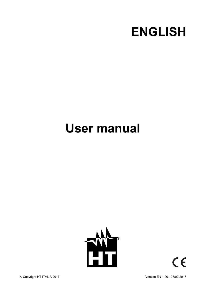

# **User manual**



 $C \in$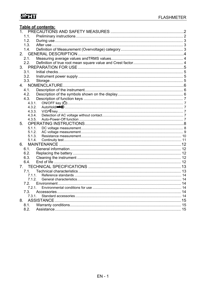## WHT

|        | Table of contents: |  |
|--------|--------------------|--|
|        |                    |  |
| 1.1.   |                    |  |
| 1.2.   |                    |  |
| 1.3.   |                    |  |
| 1.4.   |                    |  |
|        |                    |  |
| 2.1.   |                    |  |
| 2.2.   |                    |  |
|        |                    |  |
| 3.1.   |                    |  |
| 3.2.   |                    |  |
| 3.3.   |                    |  |
|        |                    |  |
| 4.1.   |                    |  |
| 4.2.   |                    |  |
| 4.3.   |                    |  |
| 4.3.1. |                    |  |
| 4.3.2. |                    |  |
| 4.3.3. |                    |  |
| 4.3.4. |                    |  |
| 4.3.5. |                    |  |
| 5.     |                    |  |
| 5.1.1. |                    |  |
| 5.1.2. |                    |  |
| 5.1.3. |                    |  |
| 5.1.4. |                    |  |
| 6.     |                    |  |
| 6.1.   |                    |  |
| 6.2.   |                    |  |
| 6.3.   |                    |  |
| 6.4.   |                    |  |
|        |                    |  |
| 7.1.   |                    |  |
| 7.1.1. |                    |  |
|        |                    |  |
| 7.2.   |                    |  |
| 7.2.1. |                    |  |
| 7.3.   |                    |  |
| 7.3.1. |                    |  |
| 8.     |                    |  |
| 8.1.   |                    |  |
| 8.2.   |                    |  |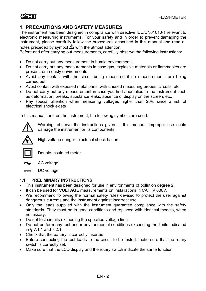## **1. PRECAUTIONS AND SAFETY MEASURES**

The instrument has been designed in compliance with directive IEC/EN61010-1 relevant to electronic measuring instruments. For your safety and in order to prevent damaging the instrument, please carefully follow the procedures described in this manual and read all notes preceded by symbol  $\triangle$  with the utmost attention.

Before and after carrying out measurements, carefully observe the following instructions:

- Do not carry out any measurement in humid environments
- Do not carry out any measurements in case gas, explosive materials or flammables are present, or in dusty environments
- Avoid any contact with the circuit being measured if no measurements are being carried out.
- Avoid contact with exposed metal parts, with unused measuring probes, circuits, etc.
- Do not carry out any measurement in case you find anomalies in the instrument such as deformation, breaks, substance leaks, absence of display on the screen, etc.
- Pay special attention when measuring voltages higher than 20V, since a risk of electrical shock exists

In this manual, and on the instrument, the following symbols are used:



Warning: observe the instructions given in this manual; improper use could damage the instrument or its components.



High voltage danger: electrical shock hazard.



Double-insulated meter



AC voltage

DC voltage  $\sim$ 

#### **1.1. PRELIMINARY INSTRUCTIONS**

- This instrument has been designed for use in environments of pollution degree 2.
- $\bullet$  It can be used for **VOLTAGE** measurements on installations in CAT IV 600V.
- We recommend following the normal safety rules devised to protect the user against dangerous currents and the instrument against incorrect use.
- Only the leads supplied with the instrument guarantee compliance with the safety standards. They must be in good conditions and replaced with identical models, when necessary.
- Do not test circuits exceeding the specified voltage limits.
- Do not perform any test under environmental conditions exceeding the limits indicated in § 7.1.1 and 7.2.1.
- Check that the battery is correctly inserted.
- Before connecting the test leads to the circuit to be tested, make sure that the rotary switch is correctly set.
- Make sure that the LCD display and the rotary switch indicate the same function.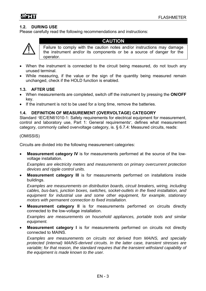#### **1.2. DURING USE**

Please carefully read the following recommendations and instructions:



#### **CAUTION**

Failure to comply with the caution notes and/or instructions may damage the instrument and/or its components or be a source of danger for the operator.

- When the instrument is connected to the circuit being measured, do not touch any unused terminal.
- While measuring, if the value or the sign of the quantity being measured remain unchanged, check if the HOLD function is enabled.

#### **1.3. AFTER USE**

- When measurements are completed, switch off the instrument by pressing the **ON/OFF** key.
- If the instrument is not to be used for a long time, remove the batteries.

#### **1.4. DEFINITION OF MEASUREMENT (OVERVOLTAGE) CATEGORY**

Standard "IEC/EN61010-1: Safety requirements for electrical equipment for measurement, control and laboratory use, Part 1: General requirements", defines what measurement category, commonly called overvoltage category, is. § 6.7.4: Measured circuits, reads:

#### (OMISSIS)

Circuits are divided into the following measurement categories:

 **Measurement category IV** is for measurements performed at the source of the lowvoltage installation.

 *Examples are electricity meters and measurements on primary overcurrent protection devices and ripple control units.*

 **Measurement category III** is for measurements performed on installations inside buildings.

 *Examples are measurements on distribution boards, circuit breakers, wiring, including cables, bus-bars, junction boxes, switches, socket-outlets in the fixed installation, and equipment for industrial use and some other equipment, for example, stationary motors with permanent connection to fixed installation.* 

 **Measurement category II** is for measurements performed on circuits directly connected to the low-voltage installation.

 *Examples are measurements on household appliances, portable tools and similar equipment.* 

 **Measurement category I** is for measurements performed on circuits not directly connected to MAINS.

 *Examples are measurements on circuits not derived from MAINS, and specially protected (internal) MAINS-derived circuits. In the latter case, transient stresses are variable; for that reason, the standard requires that the transient withstand capability of the equipment is made known to the user.*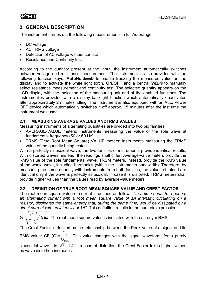## **2. GENERAL DESCRIPTION**

The instrument carries out the following measurements in full Autorange:

- DC voltage
- AC TRMS voltage
- Detection of AC voltage without contact
- Resistance and Continuity test

According to the quantity present at the input, the instrument automatically switches between voltage and resistance measurement. The instrument is also provided with the following function keys: **AutoHold/-4:** to enable freezing the measured value on the display and to activate the white light torch, **ON/OFF** and a central **V/Ω/** to manually select resistance measurement and continuity test. The selected quantity appears on the LCD display with the indication of the measuring unit and of the enabled functions. The instrument is provided with a display backlight function which automatically deactivates after approximately 2 minutes' idling. The instrument is also equipped with an Auto Power OFF device which automatically switches it off approx. 15 minutes after the last time the instrument was used.

#### **2.1. MEASURING AVERAGE VALUES ANDTRMS VALUES**

Measuring instruments of alternating quantities are divided into two big families:

- AVERAGE-VALUE meters: instruments measuring the value of the sole wave at fundamental frequency (50 or 60 Hz).
- TRMS (True Root Mean Square) VALUE meters: instruments measuring the TRMS value of the quantity being tested.

With a perfectly sinusoidal wave, the two families of instruments provide identical results. With distorted waves, instead, the readings shall differ. Average-value meters provide the RMS value of the sole fundamental wave; TRSM meters, instead, provide the RMS value of the whole wave, including harmonics (within the instruments bandwidth). Therefore, by measuring the same quantity with instruments from both families, the values obtained are identical only if the wave is perfectly sinusoidal. In case it is distorted, TRMS meters shall provide higher values than the values read by average-value meters.

#### **2.2. DEFINITION OF TRUE ROOT MEAN SQUARE VALUE AND CREST FACTOR**

The root mean square value of current is defined as follows: "*In a time equal to a period, an alternating current with a root mean square value of 1A intensity, circulating on a resistor, dissipates the same energy that, during the same time, would be dissipated by a direct current with an intensity of 1A*". This definition results in the numeric expression:

$$
G = \sqrt{\frac{1}{T} \int_{t_0}^{t_0 + T} g^2(t) dt}
$$
 The root mean square value is indicated with the acronym RMS.

The Crest Factor is defined as the relationship between the Peak Value of a signal and its

RMS value: CF (G)= *RMS p G G* This value changes with the signal waveform, for a purely

sinusoidal wave it is  $\sqrt{2}$  =1.41. In case of distortion, the Crest Factor takes higher values as wave distortion increases.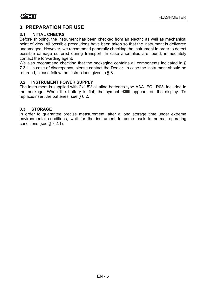## **3. PREPARATION FOR USE**

#### **3.1. INITIAL CHECKS**

Before shipping, the instrument has been checked from an electric as well as mechanical point of view. All possible precautions have been taken so that the instrument is delivered undamaged. However, we recommend generally checking the instrument in order to detect possible damage suffered during transport. In case anomalies are found, immediately contact the forwarding agent.

We also recommend checking that the packaging contains all components indicated in § 7.3.1. In case of discrepancy, please contact the Dealer. In case the instrument should be returned, please follow the instructions given in § 8.

#### **3.2. INSTRUMENT POWER SUPPLY**

The instrument is supplied with 2x1.5V alkaline batteries type AAA IEC LR03, included in the package. When the battery is flat, the symbol  $\mathbb{F}$   $\mathbb{F}$  appears on the display. To replace/insert the batteries, see § 6.2.

#### **3.3. STORAGE**

In order to guarantee precise measurement, after a long storage time under extreme environmental conditions, wait for the instrument to come back to normal operating conditions (see § 7.2.1).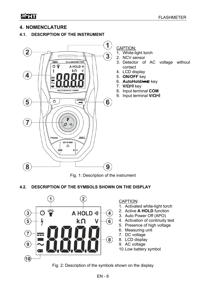## **4. NOMENCLATURE**

#### **4.1. DESCRIPTION OF THE INSTRUMENT**



Fig. 1: Description of the instrument

#### **4.2. DESCRIPTION OF THE SYMBOLS SHOWN ON THE DISPLAY**



Fig. 2: Description of the symbols shown on the display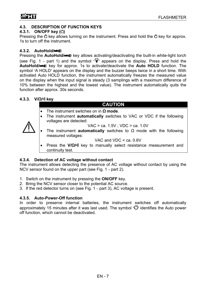#### **4.3. DESCRIPTION OF FUNCTION KEYS**

#### **4.3.1. ON/OFF key (** $\circ$ **)**

Pressing the  $\Phi$  key allows turning on the instrument. Press and hold the  $\Phi$  key for approx. 1s to turn off the instrument.

#### **4.3.2. AutoHold/**

Pressing the **AutoHold/-4:** key allows activating/deactivating the built-in white-light torch (see Fig. 1 – part 1) and the symbol  $\sqrt[n]{\ }$  appears on the display. Press and hold the **AutoHold/-4:** key for approx. 1s to activate/deactivate the **Auto HOLD** function. The symbol "A HOLD" appears on the display and the buzzer beeps twice in a short time. With activated Auto HOLD function, the instrument automatically freezes the measured value on the display when the input signal is steady (3 samplings with a maximum difference of 10% between the highest and the lowest value). The instrument automatically quits the function after approx. 30s seconds.

#### **4.3.3. V/Ω/ key**

#### **CAUTION**

- The instrument switches on in **Ω mode**.
- The instrument **automatically** switches to VAC or VDC if the following voltages are detected:

VAC > ca. 1.5V ; VDC > ca. 1.0V

- The instrument **automatically** switches to Ω mode with the following measured voltages:
	- VAC and VDC < ca. 0.6V
- Press the **V/Ω/** key to manually select resistance measurement and continuity test.

#### **4.3.4. Detection of AC voltage without contact**

The instrument allows detecting the presence of AC voltage without contact by using the NCV sensor found on the upper part (see Fig. 1 – part 2).

- 1. Switch on the instrument by pressing the **ON/OFF** key.
- 2. Bring the NCV sensor closer to the potential AC source.
- 3. If the red detector turns on (see Fig. 1 part 3), AC voltage is present.

#### **4.3.5. Auto-Power-Off function**

In order to preserve internal batteries, the instrument switches off automatically approximately 15 minutes after it was last used. The symbol " $G$  identifies the Auto power off function, which cannot be deactivated.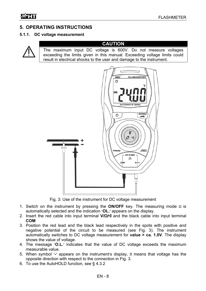## **5. OPERATING INSTRUCTIONS**

#### **5.1.1. DC voltage measurement**

![](_page_8_Picture_4.jpeg)

#### **CAUTION**

The maximum input DC voltage is 600V. Do not measure voltages exceeding the limits given in this manual. Exceeding voltage limits could result in electrical shocks to the user and damage to the instrument.

![](_page_8_Figure_7.jpeg)

Fig. 3: Use of the instrument for DC voltage measurement

- 1. Switch on the instrument by pressing the **ON/OFF** key. The measuring mode Ω is automatically selected and the indication "**OL.**" appears on the display.
- 2. Insert the red cable into input terminal **V/Ω/** and the black cable into input terminal **COM**
- 3. Position the red lead and the black lead respectively in the spots with positive and negative potential of the circuit to be measured (see Fig. 3). The instrument automatically switches to DC voltage measurement for **value > ca. 1.0V**. The display shows the value of voltage.
- 4. The message "**O.L.**" indicates that the value of DC voltage exceeds the maximum measurable value.
- 5. When symbol "**-**" appears on the instrument's display, it means that voltage has the opposite direction with respect to the connection in Fig. 3.
- 6. To use the AutoHOLD function, see § 4.3.2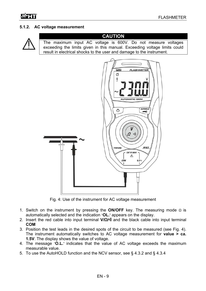#### **5.1.2. AC voltage measurement**

![](_page_9_Picture_3.jpeg)

## **CAUTION**

The maximum input AC voltage is 600V. Do not measure voltages exceeding the limits given in this manual. Exceeding voltage limits could result in electrical shocks to the user and damage to the instrument.

![](_page_9_Figure_6.jpeg)

Fig. 4: Use of the instrument for AC voltage measurement

- 1. Switch on the instrument by pressing the **ON/OFF** key. The measuring mode Ω is automatically selected and the indication "**OL.**" appears on the display.
- 2. Insert the red cable into input terminal **V/Ω/** and the black cable into input terminal **COM**
- 3. Position the test leads in the desired spots of the circuit to be measured (see Fig. 4). The instrument automatically switches to AC voltage measurement for **value > ca. 1.5V**. The display shows the value of voltage.
- 4. The message "**O.L.**" indicates that the value of AC voltage exceeds the maximum measurable value.
- 5. To use the AutoHOLD function and the NCV sensor, see § 4.3.2 and § 4.3.4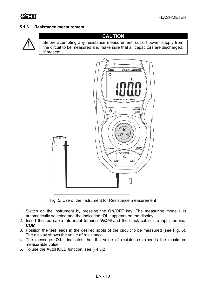#### **5.1.3. Resistance measurement**

![](_page_10_Picture_3.jpeg)

#### **CAUTION**

Before attempting any resistance measurement, cut off power supply from the circuit to be measured and make sure that all capacitors are discharged, if present.

![](_page_10_Picture_6.jpeg)

Fig. 5: Use of the instrument for Resistance measurement

- 1. Switch on the instrument by pressing the **ON/OFF** key. The measuring mode Ω is automatically selected and the indication "**OL.**" appears on the display.
- 2. Insert the red cable into input terminal **V/Ω/** and the black cable into input terminal **COM**.
- 3. Position the test leads in the desired spots of the circuit to be measured (see Fig. 5). The display shows the value of resistance.
- 4. The message "**O.L.**" indicates that the value of resistance exceeds the maximum measurable value.
- 5. To use the AutoHOLD function, see § 4.3.2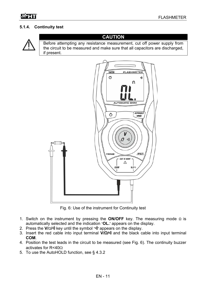#### **5.1.4. Continuity test**

![](_page_11_Picture_3.jpeg)

#### **CAUTION**

Before attempting any resistance measurement, cut off power supply from the circuit to be measured and make sure that all capacitors are discharged, if present.

![](_page_11_Figure_6.jpeg)

Fig. 6: Use of the instrument for Continuity test

- 1. Switch on the instrument by pressing the **ON/OFF** key. The measuring mode Ω is automatically selected and the indication "**OL.**" appears on the display.
- 2. Press the **V/**Ω**/** key until the symbol " " appears on the display.
- 3. Insert the red cable into input terminal **V/Ω/** and the black cable into input terminal **COM**.
- 4. Position the test leads in the circuit to be measured (see Fig. 6). The continuity buzzer activates for  $R < 40Q$
- 5. To use the AutoHOLD function, see § 4.3.2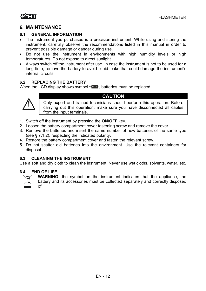### **6. MAINTENANCE**

#### **6.1. GENERAL INFORMATION**

- The instrument you purchased is a precision instrument. While using and storing the instrument, carefully observe the recommendations listed in this manual in order to prevent possible damage or danger during use.
- Do not use the instrument in environments with high humidity levels or high temperatures. Do not expose to direct sunlight.
- Always switch off the instrument after use. In case the instrument is not to be used for a long time, remove the battery to avoid liquid leaks that could damage the instrument's internal circuits.

#### **6.2. REPLACING THE BATTERY**

When the LCD display shows symbol  $\mathbb{E}$   $\mathbb{F}$ , batteries must be replaced.

![](_page_12_Picture_9.jpeg)

## **CAUTION**

Only expert and trained technicians should perform this operation. Before carrying out this operation, make sure you have disconnected all cables from the input terminals.

- 1. Switch off the instrument by pressing the **ON/OFF** key.
- 2. Loosen the battery compartment cover fastening screw and remove the cover.
- 3. Remove the batteries and insert the same number of new batteries of the same type (see § 7.1.2), respecting the indicated polarity.
- 4. Restore the battery compartment cover and fasten the relevant screw.
- 5. Do not scatter old batteries into the environment. Use the relevant containers for disposal.

#### **6.3. CLEANING THE INSTRUMENT**

Use a soft and dry cloth to clean the instrument. Never use wet cloths, solvents, water, etc.

#### **6.4. END OF LIFE**

![](_page_12_Picture_20.jpeg)

**WARNING**: the symbol on the instrument indicates that the appliance, the battery and its accessories must be collected separately and correctly disposed of.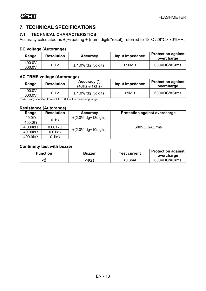## **7. TECHNICAL SPECIFICATIONS**

#### **7.1. TECHNICAL CHARACTERISTICS**

Accuracy calculated as  $\pm$ [%reading + (num. digits\*resol)] referred to 18°C÷28°C,<70%HR.

#### **DC voltage (Autorange)**

| Range            | <b>Resolution</b> | <b>Accuracy</b>         | Input impedance  | <b>Protection against</b><br>overcharge |
|------------------|-------------------|-------------------------|------------------|-----------------------------------------|
| 400.0V<br>600.0V | 0.1V              | $\pm$ (1.0%rdg+5digits) | $>10$ M $\Omega$ | 600VDC/ACrms                            |

#### **AC TRMS voltage (Autorange)**

| Range  | <b>Resolution</b>                                        | Accuracy (*)<br>$(40Hz \div 1kHz)$ | Input impedance | <b>Protection against</b><br>overcharge |
|--------|----------------------------------------------------------|------------------------------------|-----------------|-----------------------------------------|
| 400.0V | 0.1V<br>.<br>$  -$<br>$\sim$ $\sim$ $\sim$ $\sim$ $\sim$ | $\pm$ (1.0%rdg+5digits)            | >9MΩ            | 600VDC/ACrms                            |
| 600.0V |                                                          |                                    |                 |                                         |

(\*) Accuracy specified from 5% to 100% of the measuring range.

#### **Resistance (Autorange)**

| Range                                                                                     | <b>Resolution</b> | <b>Accuracy</b>          | <b>Protection against overcharge</b> |
|-------------------------------------------------------------------------------------------|-------------------|--------------------------|--------------------------------------|
| 40.0 <omega< td=""><td></td><td><math>\pm</math>(2.0%rdg+18digits)</td><td></td></omega<> |                   | $\pm$ (2.0%rdg+18digits) |                                      |
| 400.0 <omega< td=""><td><math>0.1\Omega</math></td><td></td><td></td></omega<>            | $0.1\Omega$       |                          |                                      |
| $4.000k\Omega$                                                                            | $0.001k\Omega$    | $\pm$ (2.0%rdg+10digits) | 600VDC/ACrms                         |
| $40.00k\Omega$                                                                            | $0.01k\Omega$     |                          |                                      |
| $400.0k\Omega$                                                                            | $0.1k\Omega$      |                          |                                      |

#### **Continuity test with buzzer**

| <b>Function</b> | <b>Buzzer</b> | Test current | <b>Protection against</b><br>overcharge |
|-----------------|---------------|--------------|-----------------------------------------|
|                 | <40Ω          | <0.3mA       | 600VDC/ACrms                            |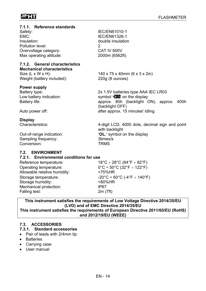## $M$ HT

| 7.1.1. Reference standards<br>Safety:<br>EMC:<br>Insulation:<br>Pollution level:<br>Overvoltage category:<br>Max operating altitude:                          | IEC/EN61010-1<br>IEC/EN61326-1<br>double insulation<br>$\overline{2}$<br>CAT IV 600V<br>2000m (6562ft)                                                                                 |  |  |  |
|---------------------------------------------------------------------------------------------------------------------------------------------------------------|----------------------------------------------------------------------------------------------------------------------------------------------------------------------------------------|--|--|--|
| 7.1.2. General characteristics<br><b>Mechanical characteristics</b><br>Size $(L \times W \times H)$ :<br>Weight (battery included):                           | 140 x 75 x 40mm (6 x 3 x 2in)<br>220g (8 ounces)                                                                                                                                       |  |  |  |
| <b>Power supply</b><br>Battery type:<br>Low battery indication:<br>Battery life:                                                                              | 2x 1.5V batteries type AAA IEC LR03<br>symbol " $+$ $\blacksquare$ " on the display<br>approx. 80h (backlight ON), approx.<br>400h<br>(backlight OFF)                                  |  |  |  |
| Auto power off:                                                                                                                                               | after approx. 15 minutes' idling                                                                                                                                                       |  |  |  |
| <b>Display</b><br>Characteristics:<br>Out-of-range indication:<br>Sampling frequency:<br>Conversion:                                                          | 4-digit LCD, 4000 dots, decimal sign and point<br>with backlight<br>"OL." symbol on the display<br>3times/s<br><b>TRMS</b>                                                             |  |  |  |
| 7.2. ENVIRONMENT<br>7.2.1. Environmental conditions for use<br>$18^{\circ}$ C ÷ 28 $^{\circ}$ C (64 $^{\circ}$ F ÷ 82 $^{\circ}$ F)<br>Reference temperature: |                                                                                                                                                                                        |  |  |  |
| Operating temperature:<br>Allowable relative humidity:<br>Storage temperature:<br>Storage humidity:<br>Mechanical protection:                                 | $0^{\circ}$ C ÷ 50 $^{\circ}$ C (32 $^{\circ}$ F ÷ 122 $^{\circ}$ F)<br><75%HR<br>$-20^{\circ}$ C ÷ 60 $^{\circ}$ C (-4 $^{\circ}$ F ÷ 140 $^{\circ}$ F)<br><80%HR<br>IP <sub>67</sub> |  |  |  |
| Falling test:                                                                                                                                                 | 2m(7ft)                                                                                                                                                                                |  |  |  |

#### **This instrument satisfies the requirements of Low Voltage Directive 2014/35/EU (LVD) and of EMC Directive 2014/35/EU This instrument satisfies the requirements of European Directive 2011/65/EU (RoHS) and 2012/19/EU (WEEE)**

#### **7.3. ACCESSORIES**

- **7.3.1. Standard accessories**
- Pair of leads with 2/4mm tip
- Batteries
- Carrying case
- User manual